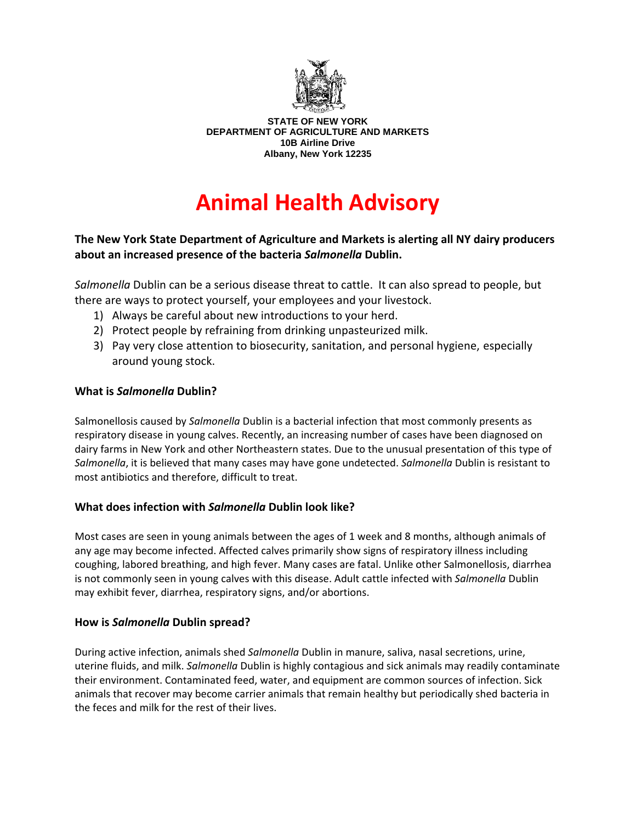

**STATE OF NEW YORK DEPARTMENT OF AGRICULTURE AND MARKETS 10B Airline Drive Albany, New York 12235** 

# **Animal Health Advisory**

## **The New York State Department of Agriculture and Markets is alerting all NY dairy producers about an increased presence of the bacteria** *Salmonella* **Dublin.**

*Salmonella* Dublin can be a serious disease threat to cattle. It can also spread to people, but there are ways to protect yourself, your employees and your livestock.

- 1) Always be careful about new introductions to your herd.
- 2) Protect people by refraining from drinking unpasteurized milk.
- 3) Pay very close attention to biosecurity, sanitation, and personal hygiene, especially around young stock.

## **What is** *Salmonella* **Dublin?**

Salmonellosis caused by *Salmonella* Dublin is a bacterial infection that most commonly presents as respiratory disease in young calves. Recently, an increasing number of cases have been diagnosed on dairy farms in New York and other Northeastern states. Due to the unusual presentation of this type of *Salmonella*, it is believed that many cases may have gone undetected. *Salmonella* Dublin is resistant to most antibiotics and therefore, difficult to treat.

## **What does infection with** *Salmonella* **Dublin look like?**

Most cases are seen in young animals between the ages of 1 week and 8 months, although animals of any age may become infected. Affected calves primarily show signs of respiratory illness including coughing, labored breathing, and high fever. Many cases are fatal. Unlike other Salmonellosis, diarrhea is not commonly seen in young calves with this disease. Adult cattle infected with *Salmonella* Dublin may exhibit fever, diarrhea, respiratory signs, and/or abortions.

#### **How is** *Salmonella* **Dublin spread?**

During active infection, animals shed *Salmonella* Dublin in manure, saliva, nasal secretions, urine, uterine fluids, and milk. *Salmonella* Dublin is highly contagious and sick animals may readily contaminate their environment. Contaminated feed, water, and equipment are common sources of infection. Sick animals that recover may become carrier animals that remain healthy but periodically shed bacteria in the feces and milk for the rest of their lives.